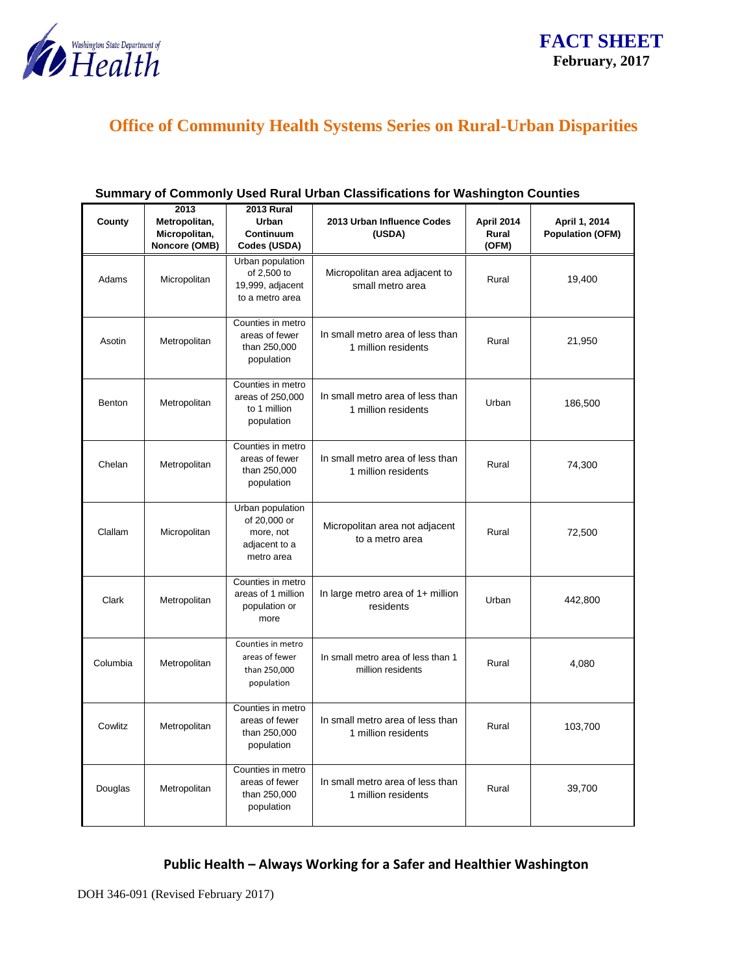

# **Office of Community Health Systems Series on Rural-Urban Disparities**

| County   | 2013<br>Metropolitan,<br>Micropolitan, | <b>2013 Rural</b><br>Urban<br>Continuum                                      | 2013 Urban Influence Codes<br>(USDA)                    | April 2014<br>Rural | April 1, 2014<br><b>Population (OFM)</b> |
|----------|----------------------------------------|------------------------------------------------------------------------------|---------------------------------------------------------|---------------------|------------------------------------------|
|          | Noncore (OMB)                          | Codes (USDA)                                                                 |                                                         | (OFM)               |                                          |
| Adams    | Micropolitan                           | Urban population<br>of 2,500 to<br>19,999, adjacent<br>to a metro area       | Micropolitan area adjacent to<br>small metro area       | Rural               | 19,400                                   |
| Asotin   | Metropolitan                           | Counties in metro<br>areas of fewer<br>than 250,000<br>population            | In small metro area of less than<br>1 million residents | Rural               | 21,950                                   |
| Benton   | Metropolitan                           | Counties in metro<br>areas of 250,000<br>to 1 million<br>population          | In small metro area of less than<br>1 million residents | Urban               | 186,500                                  |
| Chelan   | Metropolitan                           | Counties in metro<br>areas of fewer<br>than 250,000<br>population            | In small metro area of less than<br>1 million residents | Rural               | 74,300                                   |
| Clallam  | Micropolitan                           | Urban population<br>of 20,000 or<br>more, not<br>adjacent to a<br>metro area | Micropolitan area not adjacent<br>to a metro area       | Rural               | 72,500                                   |
| Clark    | Metropolitan                           | Counties in metro<br>areas of 1 million<br>population or<br>more             | In large metro area of 1+ million<br>residents          | Urban               | 442,800                                  |
| Columbia | Metropolitan                           | Counties in metro<br>areas of fewer<br>than 250,000<br>population            | In small metro area of less than 1<br>million residents | Rural               | 4,080                                    |
| Cowlitz  | Metropolitan                           | Counties in metro<br>areas of fewer<br>than 250,000<br>population            | In small metro area of less than<br>1 million residents | Rural               | 103,700                                  |
| Douglas  | Metropolitan                           | Counties in metro<br>areas of fewer<br>than 250,000<br>population            | In small metro area of less than<br>1 million residents | Rural               | 39,700                                   |

#### **Summary of Commonly Used Rural Urban Classifications for Washington Counties**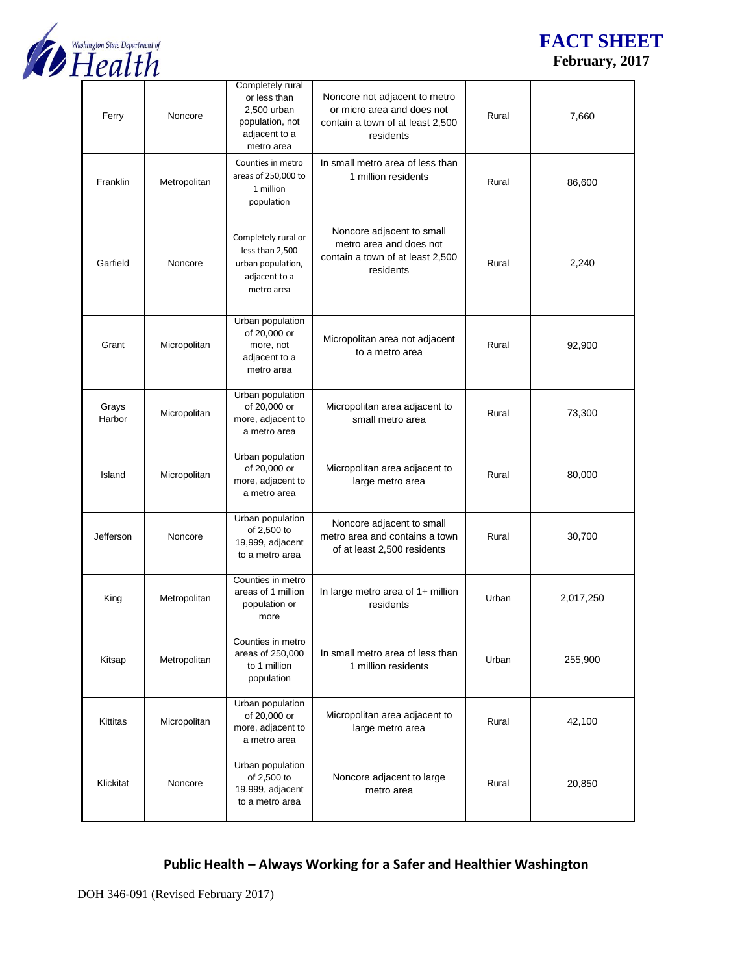

## **FACT SHEET February, 2017**

| Ferry           | Noncore      | Completely rural<br>or less than<br>2,500 urban<br>population, not<br>adjacent to a<br>metro area | Noncore not adjacent to metro<br>or micro area and does not<br>contain a town of at least 2,500<br>residents | Rural | 7,660     |
|-----------------|--------------|---------------------------------------------------------------------------------------------------|--------------------------------------------------------------------------------------------------------------|-------|-----------|
| Franklin        | Metropolitan | Counties in metro<br>areas of 250,000 to<br>1 million<br>population                               | In small metro area of less than<br>1 million residents                                                      | Rural | 86,600    |
| Garfield        | Noncore      | Completely rural or<br>less than 2,500<br>urban population,<br>adjacent to a<br>metro area        | Noncore adjacent to small<br>metro area and does not<br>contain a town of at least 2,500<br>residents        | Rural | 2,240     |
| Grant           | Micropolitan | Urban population<br>of 20,000 or<br>more, not<br>adjacent to a<br>metro area                      | Micropolitan area not adjacent<br>to a metro area                                                            | Rural | 92,900    |
| Grays<br>Harbor | Micropolitan | Urban population<br>of 20,000 or<br>more, adjacent to<br>a metro area                             | Micropolitan area adjacent to<br>small metro area                                                            | Rural | 73,300    |
| Island          | Micropolitan | Urban population<br>of 20,000 or<br>more, adjacent to<br>a metro area                             | Micropolitan area adjacent to<br>large metro area                                                            | Rural | 80,000    |
| Jefferson       | Noncore      | Urban population<br>of 2,500 to<br>19,999, adjacent<br>to a metro area                            | Noncore adjacent to small<br>metro area and contains a town<br>of at least 2,500 residents                   | Rural | 30,700    |
| King            | Metropolitan | Counties in metro<br>areas of 1 million<br>population or<br>more                                  | In large metro area of $1+$ million<br>residents                                                             | Urban | 2,017,250 |
| Kitsap          | Metropolitan | Counties in metro<br>areas of 250,000<br>to 1 million<br>population                               | In small metro area of less than<br>1 million residents                                                      | Urban | 255,900   |
| Kittitas        | Micropolitan | Urban population<br>of 20,000 or<br>more, adjacent to<br>a metro area                             | Micropolitan area adjacent to<br>large metro area                                                            | Rural | 42,100    |
| Klickitat       | Noncore      | Urban population<br>of 2,500 to<br>19,999, adjacent<br>to a metro area                            | Noncore adjacent to large<br>metro area                                                                      | Rural | 20,850    |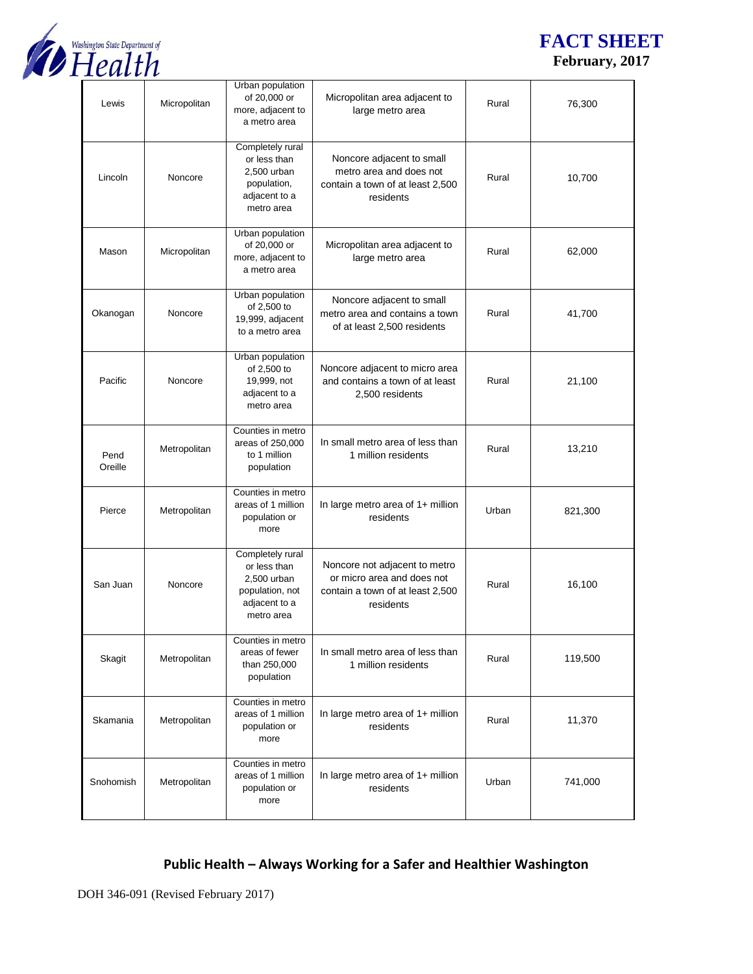

## **FACT SHEET February, 2017**

| Lewis           | Micropolitan | Urban population<br>of 20,000 or<br>more, adjacent to<br>a metro area                             | Micropolitan area adjacent to<br>large metro area                                                            | Rural | 76,300  |
|-----------------|--------------|---------------------------------------------------------------------------------------------------|--------------------------------------------------------------------------------------------------------------|-------|---------|
| Lincoln         | Noncore      | Completely rural<br>or less than<br>2,500 urban<br>population,<br>adjacent to a<br>metro area     | Noncore adjacent to small<br>metro area and does not<br>contain a town of at least 2,500<br>residents        | Rural | 10,700  |
| Mason           | Micropolitan | Urban population<br>of 20,000 or<br>more, adjacent to<br>a metro area                             | Micropolitan area adjacent to<br>large metro area                                                            | Rural | 62,000  |
| Okanogan        | Noncore      | Urban population<br>of 2,500 to<br>19,999, adjacent<br>to a metro area                            | Noncore adjacent to small<br>metro area and contains a town<br>of at least 2,500 residents                   | Rural | 41,700  |
| Pacific         | Noncore      | Urban population<br>of 2,500 to<br>19,999, not<br>adjacent to a<br>metro area                     | Noncore adjacent to micro area<br>and contains a town of at least<br>2,500 residents                         | Rural | 21,100  |
| Pend<br>Oreille | Metropolitan | Counties in metro<br>areas of 250,000<br>to 1 million<br>population                               | In small metro area of less than<br>1 million residents                                                      | Rural | 13,210  |
| Pierce          | Metropolitan | Counties in metro<br>areas of 1 million<br>population or<br>more                                  | In large metro area of 1+ million<br>residents                                                               | Urban | 821,300 |
| San Juan        | Noncore      | Completely rural<br>or less than<br>2,500 urban<br>population, not<br>adjacent to a<br>metro area | Noncore not adjacent to metro<br>or micro area and does not<br>contain a town of at least 2,500<br>residents | Rural | 16,100  |
| Skagit          | Metropolitan | Counties in metro<br>areas of fewer<br>than 250,000<br>population                                 | In small metro area of less than<br>1 million residents                                                      | Rural | 119,500 |
| Skamania        | Metropolitan | Counties in metro<br>areas of 1 million<br>population or<br>more                                  | In large metro area of 1+ million<br>residents                                                               | Rural | 11,370  |
| Snohomish       | Metropolitan | Counties in metro<br>areas of 1 million<br>population or<br>more                                  | In large metro area of 1+ million<br>residents                                                               | Urban | 741,000 |